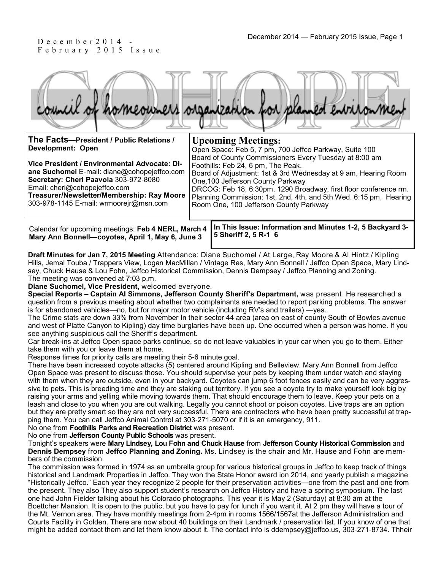# F e b r u a r y 2 0 1 5 I s s u e

| The Facts--President / Public Relations /<br>Development: Open<br>Vice President / Environmental Advocate: Di-<br>ane Suchomel E-mail: diane@cohopejeffco.com<br>Secretary: Cheri Paavola 303-972-8080<br>Email: cheri@cohopejeffco.com<br>Treasurer/Newsletter/Membership: Ray Moore<br>303-978-1145 E-mail: wrmooreir@msn.com | <b>Upcoming Meetings:</b><br>Open Space: Feb 5, 7 pm, 700 Jeffco Parkway, Suite 100<br>Board of County Commissioners Every Tuesday at 8:00 am<br>Foothills: Feb 24, 6 pm, The Peak.<br>Board of Adjustment: 1st & 3rd Wednesday at 9 am, Hearing Room<br>One, 100 Jefferson County Parkway<br>DRCOG: Feb 18, 6:30pm, 1290 Broadway, first floor conference rm.<br>Planning Commission: 1st, 2nd, 4th, and 5th Wed. 6:15 pm, Hearing<br>Room One, 100 Jefferson County Parkway |
|---------------------------------------------------------------------------------------------------------------------------------------------------------------------------------------------------------------------------------------------------------------------------------------------------------------------------------|-------------------------------------------------------------------------------------------------------------------------------------------------------------------------------------------------------------------------------------------------------------------------------------------------------------------------------------------------------------------------------------------------------------------------------------------------------------------------------|
| Calendar for upcoming meetings: Feb 4 NERL, March 4                                                                                                                                                                                                                                                                             | In This Issue: Information and Minutes 1-2, 5 Backyard 3-                                                                                                                                                                                                                                                                                                                                                                                                                     |

**Mary Ann Bonnell—coyotes, April 1, May 6, June 3**

**5 Sheriff 2, 5 R-1 6**

**Draft Minutes for Jan 7, 2015 Meeting** Attendance: Diane Suchomel / At Large, Ray Moore & Al Hintz / Kipling Hills, Jemal Touba / Trappers View, Logan MacMillan / Vintage Res, Mary Ann Bonnell / Jeffco Open Space, Mary Lindsey, Chuck Hause & Lou Fohn, Jeffco Historical Commission, Dennis Dempsey / Jeffco Planning and Zoning. The meeting was convened at 7:03 p.m.

**Diane Suchomel, Vice President,** welcomed everyone.

**Special Reports – Captain Al Simmons, Jefferson County Sheriff's Department,** was present. He researched a question from a previous meeting about whether two complainants are needed to report parking problems. The answer is for abandoned vehicles—no, but for major motor vehicle (including RV's and trailers) —yes.

The Crime stats are down 33% from November In their sector 44 area (area on east of county South of Bowles avenue and west of Platte Canyon to Kipling) day time burglaries have been up. One occurred when a person was home. If you see anything suspicious call the Sheriff's department.

Car break-ins at Jeffco Open space parks continue, so do not leave valuables in your car when you go to them. Either take them with you or leave them at home.

Response times for priority calls are meeting their 5-6 minute goal.

There have been increased coyote attacks (5) centered around Kipling and Belleview. Mary Ann Bonnell from Jeffco Open Space was present to discuss those. You should supervise your pets by keeping them under watch and staying with them when they are outside, even in your backyard. Coyotes can jump 6 foot fences easily and can be very aggressive to pets. This is breeding time and they are staking out territory. If you see a coyote try to make yourself look big by raising your arms and yelling while moving towards them. That should encourage them to leave. Keep your pets on a leash and close to you when you are out walking. Legally you cannot shoot or poison coyotes. Live traps are an option but they are pretty smart so they are not very successful. There are contractors who have been pretty successful at trapping them. You can call Jeffco Animal Control at 303-271-5070 or if it is an emergency, 911.

No one from **Foothills Parks and Recreation District** was present.

No one from **Jefferson County Public Schools** was present.

Tonight's speakers were **Mary Lindsey, Lou Fohn and Chuck Hause** from **Jefferson County Historical Commission** and **Dennis Dempsey** from **Jeffco Planning and Zoning.** Ms. Lindsey is the chair and Mr. Hause and Fohn are members of the commission.

The commission was formed in 1974 as an umbrella group for various historical groups in Jeffco to keep track of things historical and Landmark Properties in Jeffco. They won the State Honor award ion 2014, and yearly publish a magazine "Historically Jeffco." Each year they recognize 2 people for their preservation activities—one from the past and one from the present. They also They also support student's research on Jeffco History and have a spring symposium. The last one had John Fielder talking about his Colorado photographs. This year it is May 2 (Saturday) at 8:30 am at the Boettcher Mansion. It is open to the public, but you have to pay for lunch if you want it. At 2 pm they will have a tour of the Mt. Vernon area. They have monthly meetings from 2-4pm in rooms 1566/1567at the Jefferson Administration and Courts Facility in Golden. There are now about 40 buildings on their Landmark / preservation list. If you know of one that might be added contact them and let them know about it. The contact info is ddempsey@jeffco.us, 303-271-8734. Thheir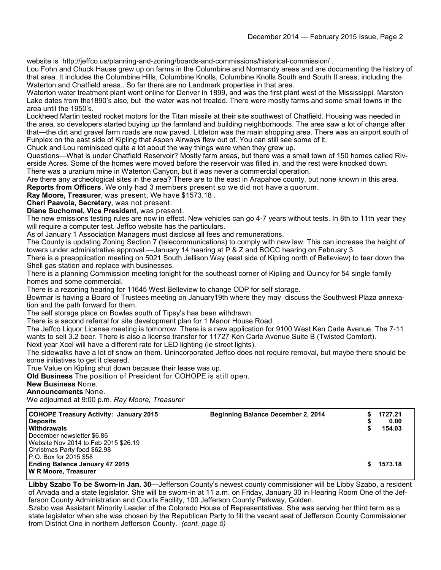website is http://jeffco.us/planning-and-zoning/boards-and-commissions/historical-commission/ .

Lou Fohn and Chuck Hause grew up on farms in the Columbine and Normandy areas and are documenting the history of that area. It includes the Columbine Hills, Columbine Knolls, Columbine Knolls South and South II areas, including the Waterton and Chatfield areas.. So far there are no Landmark properties in that area.

Waterton water treatment plant went online for Denver in 1899, and was the first plant west of the Mississippi. Marston Lake dates from the1890's also, but the water was not treated. There were mostly farms and some small towns in the area until the 1950's.

Lockheed Martin tested rocket motors for the Titan missile at their site southwest of Chatfield. Housing was needed in the area, so developers started buying up the farmland and building neighborhoods. The area saw a lot of change after that—the dirt and gravel farm roads are now paved. Littleton was the main shopping area. There was an airport south of Funplex on the east side of Kipling that Aspen Airways flew out of. You can still see some of it.

Chuck and Lou reminisced quite a lot about the way things were when they grew up.

Questions—What is under Chatfield Reservoir? Mostly farm areas, but there was a small town of 150 homes called Riverside Acres. Some of the homes were moved before the reservoir was filled in, and the rest were knocked down. There was a uranium mine in Waterton Canyon, but it was never a commercial operation.

Are there any archeological sites in the area? There are to the east in Arapahoe county, but none known in this area. **Reports from Officers**. We only had 3 members present so we did not have a quorum.

**Ray Moore, Treasurer**, was present. We have \$1573.18 .

**Cheri Paavola, Secretary**, was not present.

**Diane Suchomel, Vice President**, was present.

The new emissions testing rules are now in effect. New vehicles can go 4-7 years without tests. In 8th to 11th year they will require a computer test. Jeffco website has the particulars.

As of January 1 Association Managers must disclose all fees and remunerations.

The County is updating Zoning Section 7 (telecommunications) to comply with new law. This can increase the height of towers under administrative approval.—January 14 hearing at P & Z and BOCC hearing on February 3.

There is a preapplication meeting on 5021 South Jellison Way (east side of Kipling north of Belleview) to tear down the Shell gas station and replace with businesses.

There is a planning Commission meeting tonight for the southeast corner of Kipling and Quincy for 54 single family homes and some commercial.

There is a rezoning hearing for 11645 West Belleview to change ODP for self storage.

Bowmar is having a Board of Trustees meeting on January19th where they may discuss the Southwest Plaza annexation and the path forward for them.

The self storage place on Bowles south of Tipsy's has been withdrawn.

There is a second referral for site development plan for 1 Manor House Road.

The Jeffco Liquor License meeting is tomorrow. There is a new application for 9100 West Ken Carle Avenue. The 7-11 wants to sell 3.2 beer. There is also a license transfer for 11727 Ken Carle Avenue Suite B (Twisted Comfort).

Next year Xcel will have a different rate for LED lighting (ie street lights).

The sidewalks have a lot of snow on them. Unincorporated Jeffco does not require removal, but maybe there should be some initiatives to get it cleared.

True Value on Kipling shut down because their lease was up.

**Old Business** The position of President for COHOPE is still open.

#### **New Business** None.

**Announcements** None.

We adjourned at 9:00 p.m. *Ray Moore, Treasurer*

| <b>COHOPE Treasury Activity: January 2015</b><br><b>Deposits</b><br>Withdrawals<br>December newsletter \$6.86<br>Website Nov 2014 to Feb 2015 \$26.19 | <b>Beginning Balance December 2, 2014</b> | 1727.21<br>0.00<br>154.03 |
|-------------------------------------------------------------------------------------------------------------------------------------------------------|-------------------------------------------|---------------------------|
| Christmas Party food \$62.98<br>P.O. Box for 2015 \$58<br><b>Ending Balance January 47 2015</b><br>W R Moore, Treasurer                               |                                           | 1573.18                   |

**Libby Szabo To be Sworn-in Jan. 30**—Jefferson County's newest county commissioner will be Libby Szabo, a resident of Arvada and a state legislator. She will be sworn-in at 11 a.m. on Friday, January 30 in Hearing Room One of the Jefferson County Administration and Courts Facility, 100 Jefferson County Parkway, Golden.

Szabo was Assistant Minority Leader of the Colorado House of Representatives. She was serving her third term as a state legislator when she was chosen by the Republican Party to fill the vacant seat of Jefferson County Commissioner from District One in northern Jefferson County. *(cont. page 5)*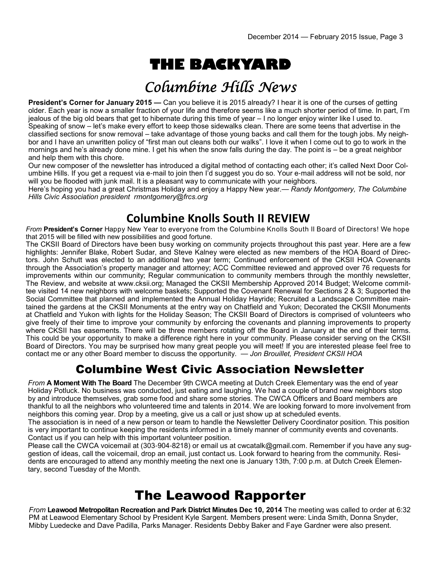# **THE BACKYARD**

## Columbine Hills News

**President's Corner for January 2015 — Can you believe it is 2015 already? I hear it is one of the curses of getting** older. Each year is now a smaller fraction of your life and therefore seems like a much shorter period of time. In part, I'm jealous of the big old bears that get to hibernate during this time of year – I no longer enjoy winter like I used to. Speaking of snow – let's make every effort to keep those sidewalks clean. There are some teens that advertise in the classified sections for snow removal – take advantage of those young backs and call them for the tough jobs. My neighbor and I have an unwritten policy of "first man out cleans both our walks". I love it when I come out to go to work in the mornings and he's already done mine. I get his when the snow falls during the day. The point is – be a great neighbor and help them with this chore.

Our new composer of the newsletter has introduced a digital method of contacting each other; it's called Next Door Columbine Hills. If you get a request via e-mail to join then I'd suggest you do so. Your e-mail address will not be sold, nor will you be flooded with junk mail. It is a pleasant way to communicate with your neighbors.

Here's hoping you had a great Christmas Holiday and enjoy a Happy New year.— *Randy Montgomery, The Columbine Hills Civic Association president rmontgomery@frcs.org* 

#### **Columbine Knolls South II REVIEW**

*From* **President's Corner** Happy New Year to everyone from the Columbine Knolls South II Board of Directors! We hope that 2015 will be filled with new possibilities and good fortune.

The CKSII Board of Directors have been busy working on community projects throughout this past year. Here are a few highlights: Jennifer Blake, Robert Sudar, and Steve Kalney were elected as new members of the HOA Board of Directors. John Schutt was elected to an additional two year term; Continued enforcement of the CKSII HOA Covenants through the Association's property manager and attorney; ACC Committee reviewed and approved over 76 requests for improvements within our community; Regular communication to community members through the monthly newsletter, The Review, and website at www.cksii.org; Managed the CKSII Membership Approved 2014 Budget; Welcome committee visited 14 new neighbors with welcome baskets; Supported the Covenant Renewal for Sections 2 & 3; Supported the Social Committee that planned and implemented the Annual Holiday Hayride; Recruited a Landscape Committee maintained the gardens at the CKSII Monuments at the entry way on Chatfield and Yukon; Decorated the CKSII Monuments at Chatfield and Yukon with lights for the Holiday Season; The CKSII Board of Directors is comprised of volunteers who give freely of their time to improve your community by enforcing the covenants and planning improvements to property where CKSII has easements. There will be three members rotating off the Board in January at the end of their terms. This could be your opportunity to make a difference right here in your community. Please consider serving on the CKSII Board of Directors. You may be surprised how many great people you will meet! If you are interested please feel free to contact me or any other Board member to discuss the opportunity. — *Jon Brouillet, President CKSII HOA*

### Columbine West Civic Association Newsletter

*From* **A Moment With The Board** The December 9th CWCA meeting at Dutch Creek Elementary was the end of year Holiday Potluck. No business was conducted, just eating and laughing. We had a couple of brand new neighbors stop by and introduce themselves, grab some food and share some stories. The CWCA Officers and Board members are thankful to all the neighbors who volunteered time and talents in 2014. We are looking forward to more involvement from neighbors this coming year. Drop by a meeting, give us a call or just show up at scheduled events.

The association is in need of a new person or team to handle the Newsletter Delivery Coordinator position. This position is very important to continue keeping the residents informed in a timely manner of community events and covenants. Contact us if you can help with this important volunteer position.

Please call the CWCA voicemail at (303-904-8218) or email us at cwcatalk@gmail.com. Remember if you have any suggestion of ideas, call the voicemail, drop an email, just contact us. Look forward to hearing from the community. Residents are encouraged to attend any monthly meeting the next one is January 13th, 7:00 p.m. at Dutch Creek Elementary, second Tuesday of the Month.

### The Leawood Rapporter

*From* **Leawood Metropolitan Recreation and Park District Minutes Dec 10, 2014** The meeting was called to order at 6:32 PM at Leawood Elementary School by President Kyle Sargent. Members present were: Linda Smith, Donna Snyder, Mibby Luedecke and Dave Padilla, Parks Manager. Residents Debby Baker and Faye Gardner were also present.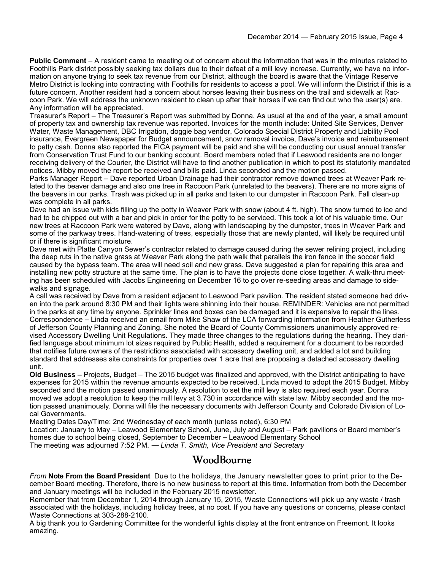**Public Comment** – A resident came to meeting out of concern about the information that was in the minutes related to Foothills Park district possibly seeking tax dollars due to their defeat of a mill levy increase. Currently, we have no information on anyone trying to seek tax revenue from our District, although the board is aware that the Vintage Reserve Metro District is looking into contracting with Foothills for residents to access a pool. We will inform the District if this is a future concern. Another resident had a concern about horses leaving their business on the trail and sidewalk at Raccoon Park. We will address the unknown resident to clean up after their horses if we can find out who the user(s) are. Any information will be appreciated.

Treasurer's Report – The Treasurer's Report was submitted by Donna. As usual at the end of the year, a small amount of property tax and ownership tax revenue was reported. Invoices for the month include: United Site Services, Denver Water, Waste Management, DBC Irrigation, doggie bag vendor, Colorado Special District Property and Liability Pool insurance, Evergreen Newspaper for Budget announcement, snow removal invoice, Dave's invoice and reimbursement to petty cash. Donna also reported the FICA payment will be paid and she will be conducting our usual annual transfer from Conservation Trust Fund to our banking account. Board members noted that if Leawood residents are no longer receiving delivery of the Courier, the District will have to find another publication in which to post its statutorily mandated notices. Mibby moved the report be received and bills paid. Linda seconded and the motion passed.

Parks Manager Report – Dave reported Urban Drainage had their contractor remove downed trees at Weaver Park related to the beaver damage and also one tree in Raccoon Park (unrelated to the beavers). There are no more signs of the beavers in our parks. Trash was picked up in all parks and taken to our dumpster in Raccoon Park. Fall clean-up was complete in all parks.

Dave had an issue with kids filling up the potty in Weaver Park with snow (about 4 ft. high). The snow turned to ice and had to be chipped out with a bar and pick in order for the potty to be serviced. This took a lot of his valuable time. Our new trees at Raccoon Park were watered by Dave, along with landscaping by the dumpster, trees in Weaver Park and some of the parkway trees. Hand-watering of trees, especially those that are newly planted, will likely be required until or if there is significant moisture.

Dave met with Platte Canyon Sewer's contractor related to damage caused during the sewer relining project, including the deep ruts in the native grass at Weaver Park along the path walk that parallels the iron fence in the soccer field caused by the bypass team. The area will need soil and new grass. Dave suggested a plan for repairing this area and installing new potty structure at the same time. The plan is to have the projects done close together. A walk-thru meeting has been scheduled with Jacobs Engineering on December 16 to go over re-seeding areas and damage to sidewalks and signage.

A call was received by Dave from a resident adjacent to Leawood Park pavilion. The resident stated someone had driven into the park around 8:30 PM and their lights were shinning into their house. REMINDER: Vehicles are not permitted in the parks at any time by anyone. Sprinkler lines and boxes can be damaged and it is expensive to repair the lines. Correspondence – Linda received an email from Mike Shaw of the LCA forwarding information from Heather Gutherless of Jefferson County Planning and Zoning. She noted the Board of County Commissioners unanimously approved revised Accessory Dwelling Unit Regulations. They made three changes to the regulations during the hearing. They clarified language about minimum lot sizes required by Public Health, added a requirement for a document to be recorded that notifies future owners of the restrictions associated with accessory dwelling unit, and added a lot and building standard that addresses site constraints for properties over 1 acre that are proposing a detached accessory dwelling unit.

**Old Business –** Projects, Budget – The 2015 budget was finalized and approved, with the District anticipating to have expenses for 2015 within the revenue amounts expected to be received. Linda moved to adopt the 2015 Budget. Mibby seconded and the motion passed unanimously. A resolution to set the mill levy is also required each year. Donna moved we adopt a resolution to keep the mill levy at 3.730 in accordance with state law. Mibby seconded and the motion passed unanimously. Donna will file the necessary documents with Jefferson County and Colorado Division of Local Governments.

Meeting Dates Day/Time: 2nd Wednesday of each month (unless noted), 6:30 PM

Location: January to May – Leawood Elementary School, June, July and August – Park pavilions or Board member's homes due to school being closed, September to December – Leawood Elementary School The meeting was adjourned 7:52 PM. — *Linda T. Smith, Vice President and Secretary*

#### WoodBourne

*From* **Note From the Board President** Due to the holidays, the January newsletter goes to print prior to the December Board meeting. Therefore, there is no new business to report at this time. Information from both the December and January meetings will be included in the February 2015 newsletter.

Remember that from December 1, 2014 through January 15, 2015, Waste Connections will pick up any waste / trash associated with the holidays, including holiday trees, at no cost. If you have any questions or concerns, please contact Waste Connections at 303-288-2100.

A big thank you to Gardening Committee for the wonderful lights display at the front entrance on Freemont. It looks amazing.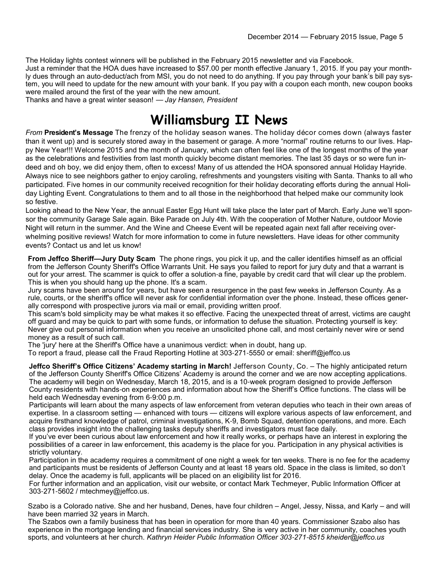The Holiday lights contest winners will be published in the February 2015 newsletter and via Facebook.

Just a reminder that the HOA dues have increased to \$57.00 per month effective January 1, 2015. If you pay your monthly dues through an auto-deduct/ach from MSI, you do not need to do anything. If you pay through your bank's bill pay system, you will need to update for the new amount with your bank. If you pay with a coupon each month, new coupon books were mailed around the first of the year with the new amount.

Thanks and have a great winter season! — *Jay Hansen, President*

### **Williamsburg II News**

*From* **President's Message** The frenzy of the holiday season wanes. The holiday décor comes down (always faster than it went up) and is securely stored away in the basement or garage. A more "normal" routine returns to our lives. Happy New Year!!! Welcome 2015 and the month of January, which can often feel like one of the longest months of the year as the celebrations and festivities from last month quickly become distant memories. The last 35 days or so were fun indeed and oh boy, we did enjoy them, often to excess! Many of us attended the HOA sponsored annual Holiday Hayride. Always nice to see neighbors gather to enjoy caroling, refreshments and youngsters visiting with Santa. Thanks to all who participated. Five homes in our community received recognition for their holiday decorating efforts during the annual Holiday Lighting Event. Congratulations to them and to all those in the neighborhood that helped make our community look so festive.

Looking ahead to the New Year, the annual Easter Egg Hunt will take place the later part of March. Early June we'll sponsor the community Garage Sale again. Bike Parade on July 4th. With the cooperation of Mother Nature, outdoor Movie Night will return in the summer. And the Wine and Cheese Event will be repeated again next fall after receiving overwhelming positive reviews! Watch for more information to come in future newsletters. Have ideas for other community events? Contact us and let us know!

**From Jeffco Sheriff—Jury Duty Scam** The phone rings, you pick it up, and the caller identifies himself as an official from the Jefferson County Sheriff's Office Warrants Unit. He says you failed to report for jury duty and that a warrant is out for your arrest. The scammer is quick to offer a solution-a fine, payable by credit card that will clear up the problem. This is when you should hang up the phone. It's a scam.

Jury scams have been around for years, but have seen a resurgence in the past few weeks in Jefferson County. As a rule, courts, or the sheriff's office will never ask for confidential information over the phone. Instead, these offices generally correspond with prospective jurors via mail or email, providing written proof.

This scam's bold simplicity may be what makes it so effective. Facing the unexpected threat of arrest, victims are caught off guard and may be quick to part with some funds, or information to defuse the situation. Protecting yourself is key: Never give out personal information when you receive an unsolicited phone call, and most certainly never wire or send money as a result of such call.

The 'jury' here at the Sheriff's Office have a unanimous verdict: when in doubt, hang up.

To report a fraud, please call the Fraud Reporting Hotline at 303-271-5550 or email: sheriff@jeffco.us

**Jeffco Sheriff's Office Citizens' Academy starting in March!** Jefferson County, Co. – The highly anticipated return of the Jefferson County Sheriff's Office Citizens' Academy is around the corner and we are now accepting applications. The academy will begin on Wednesday, March 18, 2015, and is a 10-week program designed to provide Jefferson County residents with hands-on experiences and information about how the Sheriff's Office functions. The class will be held each Wednesday evening from 6-9:00 p.m.

Participants will learn about the many aspects of law enforcement from veteran deputies who teach in their own areas of expertise. In a classroom setting — enhanced with tours — citizens will explore various aspects of law enforcement, and acquire firsthand knowledge of patrol, criminal investigations, K-9, Bomb Squad, detention operations, and more. Each class provides insight into the challenging tasks deputy sheriffs and investigators must face daily.

If you've ever been curious about law enforcement and how it really works, or perhaps have an interest in exploring the possibilities of a career in law enforcement, this academy is the place for you. Participation in any physical activities is strictly voluntary.

Participation in the academy requires a commitment of one night a week for ten weeks. There is no fee for the academy and participants must be residents of Jefferson County and at least 18 years old. Space in the class is limited, so don't delay. Once the academy is full, applicants will be placed on an eligibility list for 2016.

For further information and an application, visit our website, or contact Mark Techmeyer, Public Information Officer at 303-271-5602 / mtechmey@jeffco.us.

Szabo is a Colorado native. She and her husband, Denes, have four children – Angel, Jessy, Nissa, and Karly – and will have been married 32 years in March.

The Szabos own a family business that has been in operation for more than 40 years. Commissioner Szabo also has experience in the mortgage lending and financial services industry. She is very active in her community, coaches youth sports, and volunteers at her church. *Kathryn Heider Public Information Officer 303*-*271*-*8515 kheider@jeffco.us*